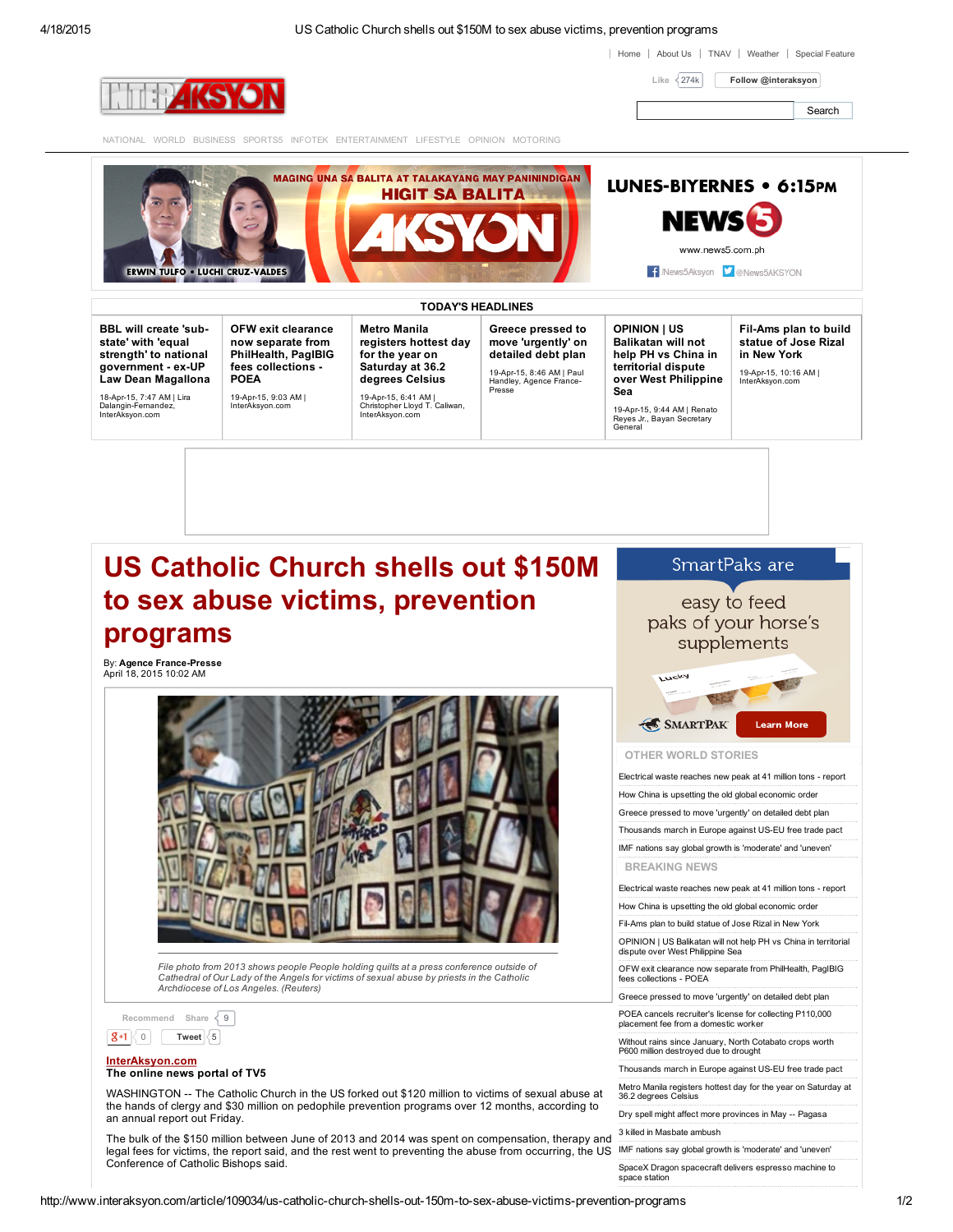## 4/18/2015 US Catholic Church shells out \$150M to sex abuse victims, prevention programs